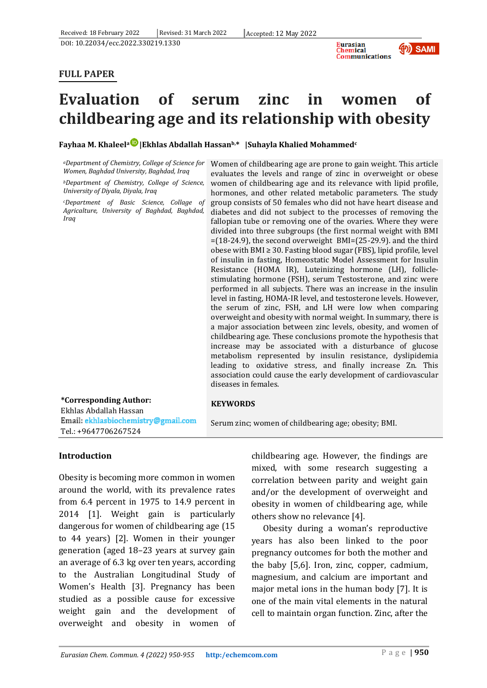

## **FULL PAPER**



# **childbearing age and its relationship with obesity**

**Fayhaa M. Khaleel[a](https://orcid.org/0000-0002-9951-2086) |Ekhlas Abdallah Hassanb,\* |Suhayla Khalied Mohammed<sup>c</sup>**

*Women, Baghdad University, Baghdad, Iraq* 

*<sup>b</sup>Department of Chemistry, College of Science, University of Diyala, Diyala, Iraq*

*<sup>c</sup>Department of Basic Science, Collage of Agricalture, University of Baghdad, Baghdad, Iraq*

*<sup>a</sup>Department of Chemistry, College of Science for*  Women of childbearing age are prone to gain weight. This article evaluates the levels and range of zinc in overweight or obese women of childbearing age and its relevance with lipid profile, hormones, and other related metabolic parameters. The study group consists of 50 females who did not have heart disease and diabetes and did not subject to the processes of removing the fallopian tube or removing one of the ovaries. Where they were divided into three subgroups (the first normal weight with BMI  $=(18-24.9)$ , the second overweight BMI= $(25-29.9)$ . and the third obese with BMI ≥ 30. Fasting blood sugar (FBS), lipid profile, level of insulin in fasting, Homeostatic Model Assessment for Insulin Resistance (HOMA IR), Luteinizing hormone (LH), folliclestimulating hormone (FSH), serum Testosterone, and zinc were performed in all subjects. There was an increase in the insulin level in fasting, HOMA-IR level, and testosterone levels. However, the serum of zinc, FSH, and LH were low when comparing overweight and obesity with normal weight. In summary, there is a major association between zinc levels, obesity, and women of childbearing age. These conclusions promote the hypothesis that increase may be associated with a disturbance of glucose metabolism represented by insulin resistance, dyslipidemia leading to oxidative stress, and finally increase Zn. This association could cause the early development of cardiovascular diseases in females.

#### **\*Corresponding Author:** Ekhlas Abdallah Hassan Email: ekhlasbiochemistry@gmail.com Tel.: +9647706267524

#### **KEYWORDS**

Serum zinc; women of childbearing age; obesity; BMI.

#### **Introduction**

Obesity is becoming more common in women around the world, with its prevalence rates from 6.4 percent in 1975 to 14.9 percent in 2014 [1]. Weight gain is particularly dangerous for women of childbearing age (15 to 44 years) [2]. Women in their younger generation (aged 18–23 years at survey gain an average of 6.3 kg over ten years, according to the Australian Longitudinal Study of Women's Health [3]. Pregnancy has been studied as a possible cause for excessive weight gain and the development of overweight and obesity in women of childbearing age. However, the findings are mixed, with some research suggesting a correlation between parity and weight gain and/or the development of overweight and obesity in women of childbearing age, while others show no relevance [4].

Obesity during a woman's reproductive years has also been linked to the poor pregnancy outcomes for both the mother and the baby [5,6]. Iron, zinc, copper, cadmium, magnesium, and calcium are important and major metal ions in the human body [7]. It is one of the main vital elements in the natural cell to maintain organ function. Zinc, after the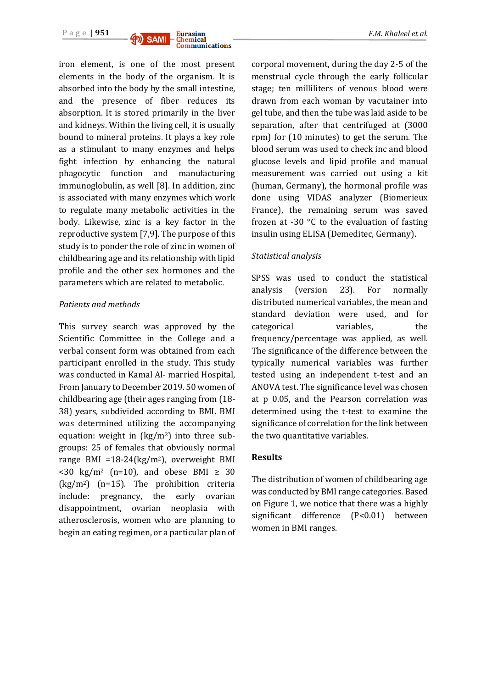



iron element, is one of the most present elements in the body of the organism. It is absorbed into the body by the small intestine, and the presence of fiber reduces its absorption. It is stored primarily in the liver and kidneys. Within the living cell, it is usually bound to mineral proteins. It plays a key role as a stimulant to many enzymes and helps fight infection by enhancing the natural phagocytic function and manufacturing immunoglobulin, as well [8]. In addition, zinc is associated with many enzymes which work to regulate many metabolic activities in the body. Likewise, zinc is a key factor in the reproductive system [7,9]. The purpose of this study is to ponder the role of zinc in women of childbearing age and its relationship with lipid profile and the other sex hormones and the parameters which are related to metabolic.

#### *Patients and methods*

This survey search was approved by the Scientific Committee in the College and a verbal consent form was obtained from each participant enrolled in the study. This study was conducted in Kamal Al- married Hospital, From January to December 2019. 50 women of childbearing age (their ages ranging from (18- 38) years, subdivided according to BMI. BMI was determined utilizing the accompanying equation: weight in (kg/m2) into three subgroups: 25 of females that obviously normal range BMI =18-24(kg/m2), overweight BMI  $\langle 30 \text{ kg/m}^2 \text{ (n=10)}$ , and obese BMI  $\geq 30$  $(kg/m<sup>2</sup>)$  (n=15). The prohibition criteria include: pregnancy, the early ovarian disappointment, ovarian neoplasia with atherosclerosis, women who are planning to begin an eating regimen, or a particular plan of corporal movement, during the day 2-5 of the menstrual cycle through the early follicular stage; ten milliliters of venous blood were drawn from each woman by vacutainer into gel tube, and then the tube was laid aside to be separation, after that centrifuged at (3000 rpm) for (10 minutes) to get the serum. The blood serum was used to check inc and blood glucose levels and lipid profile and manual measurement was carried out using a kit (human, Germany), the hormonal profile was done using VIDAS analyzer (Biomerieux France), the remaining serum was saved frozen at -30 $\degree$ C to the evaluation of fasting insulin using ELISA (Demeditec, Germany).

#### *Statistical analysis*

SPSS was used to conduct the statistical analysis (version 23). For normally distributed numerical variables, the mean and standard deviation were used, and for categorical variables, the frequency/percentage was applied, as well. The significance of the difference between the typically numerical variables was further tested using an independent t-test and an ANOVA test. The significance level was chosen at p 0.05, and the Pearson correlation was determined using the t-test to examine the significance of correlation for the link between the two quantitative variables.

#### **Results**

The distribution of women of childbearing age was conducted by BMI range categories. Based on Figure 1, we notice that there was a highly significant difference (P<0.01) between women in BMI ranges.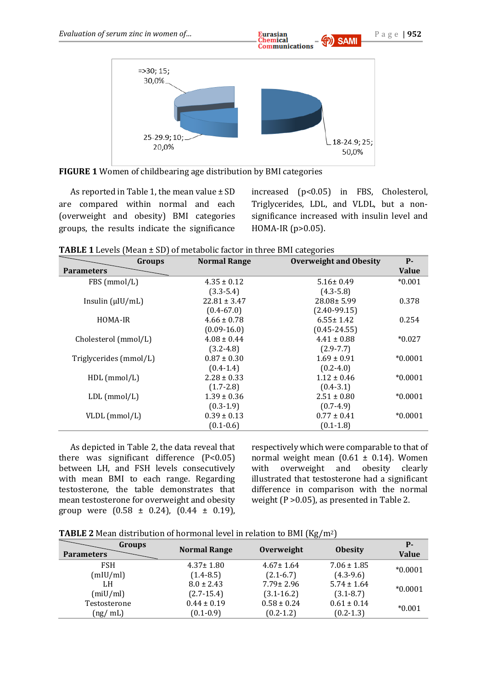

**FIGURE 1** Women of childbearing age distribution by BMI categories

As reported in Table 1, the mean value ± SD are compared within normal and each (overweight and obesity) BMI categories groups, the results indicate the significance increased (p<0.05) in FBS, Cholesterol, Triglycerides, LDL, and VLDL, but a nonsignificance increased with insulin level and HOMA-IR (p>0.05).

| Groups                 | <b>Normal Range</b> | <b>Overweight and Obesity</b> | $P -$        |
|------------------------|---------------------|-------------------------------|--------------|
| <b>Parameters</b>      |                     |                               | <b>Value</b> |
| FBS (mmol/L)           | $4.35 \pm 0.12$     | $5.16 \pm 0.49$               | $*0.001$     |
|                        | $(3.3 - 5.4)$       | $(4.3 - 5.8)$                 |              |
| Insulin $(\mu U/mL)$   | $22.81 \pm 3.47$    | $28.08 \pm 5.99$              | 0.378        |
|                        | $(0.4 - 67.0)$      | $(2.40-99.15)$                |              |
| HOMA-IR                | $4.66 \pm 0.78$     | $6.55 \pm 1.42$               | 0.254        |
|                        | $(0.09 - 16.0)$     | $(0.45 - 24.55)$              |              |
| Cholesterol (mmol/L)   | $4.08 \pm 0.44$     | $4.41 \pm 0.88$               | $*0.027$     |
|                        | $(3.2 - 4.8)$       | $(2.9 - 7.7)$                 |              |
| Triglycerides (mmol/L) | $0.87 \pm 0.30$     | $1.69 \pm 0.91$               | $*0.0001$    |
|                        | $(0.4 - 1.4)$       | $(0.2 - 4.0)$                 |              |
| $HDL$ (mmol/L)         | $2.28 \pm 0.33$     | $1.12 \pm 0.46$               | $*0.0001$    |
|                        | $(1.7 - 2.8)$       | $(0.4 - 3.1)$                 |              |
| $LDL$ (mmol/L)         | $1.39 \pm 0.36$     | $2.51 \pm 0.80$               | $*0.0001$    |
|                        | $(0.3-1.9)$         | $(0.7-4.9)$                   |              |
| VLDL (mmol/L)          | $0.39 \pm 0.13$     | $0.77 \pm 0.41$               | $*0.0001$    |
|                        | $(0.1 - 0.6)$       | $(0.1 - 1.8)$                 |              |

As depicted in Table 2, the data reveal that there was significant difference  $(P<0.05)$ between LH, and FSH levels consecutively with mean BMI to each range. Regarding testosterone, the table demonstrates that mean testosterone for overweight and obesity group were  $(0.58 \pm 0.24)$ ,  $(0.44 \pm 0.19)$ ,

respectively which were comparable to that of normal weight mean  $(0.61 \pm 0.14)$ . Women with overweight and obesity clearly illustrated that testosterone had a significant difference in comparison with the normal weight (P >0.05), as presented in Table 2.

**TABLE 2** Mean distribution of hormonal level in relation to BMI (Kg/m2)

| <b>Groups</b><br><b>Parameters</b> | <b>Normal Range</b> | Overweight      | <b>Obesity</b>  | <b>P</b> -<br><b>Value</b> |
|------------------------------------|---------------------|-----------------|-----------------|----------------------------|
| <b>FSH</b>                         | $4.37 \pm 1.80$     | $4.67 \pm 1.64$ | $7.06 \pm 1.85$ | $*0.0001$                  |
| (mIU/ml)                           | $(1.4 - 8.5)$       | $(2.1 - 6.7)$   | $(4.3-9.6)$     |                            |
| LH                                 | $8.0 \pm 2.43$      | $7.79 \pm 2.96$ | $5.74 \pm 1.64$ | $*0.0001$                  |
| (miU/ml)                           | $(2.7 - 15.4)$      | $(3.1 - 16.2)$  | $(3.1 - 8.7)$   |                            |
| Testosterone                       | $0.44 \pm 0.19$     | $0.58 \pm 0.24$ | $0.61 \pm 0.14$ | $*0.001$                   |
| (ng/ml)                            | $(0.1 - 0.9)$       | $(0.2 - 1.2)$   | $(0.2 - 1.3)$   |                            |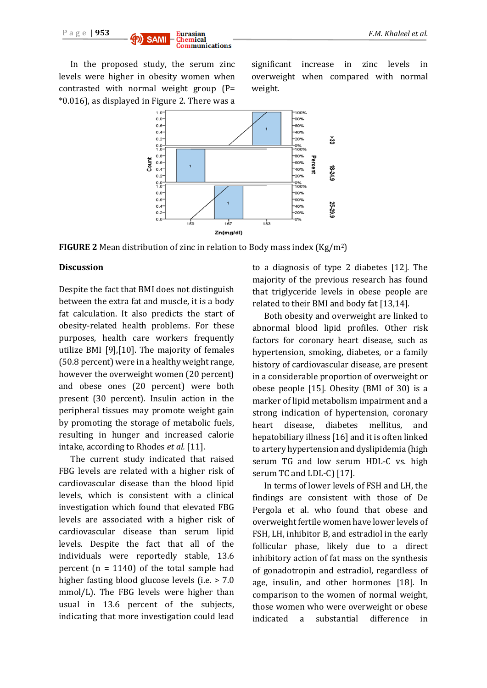

In the proposed study, the serum zinc levels were higher in obesity women when contrasted with normal weight group (P= \*0.016), as displayed in Figure 2. There was a significant increase in zinc levels in overweight when compared with normal weight.



**FIGURE 2** Mean distribution of zinc in relation to Body mass index (Kg/m2)

#### **Discussion**

Despite the fact that BMI does not distinguish between the extra fat and muscle, it is a body fat calculation. It also predicts the start of obesity-related health problems. For these purposes, health care workers frequently utilize BMI [9],[10]. The majority of females (50.8 percent) were in a healthy weight range, however the overweight women (20 percent) and obese ones (20 percent) were both present (30 percent). Insulin action in the peripheral tissues may promote weight gain by promoting the storage of metabolic fuels, resulting in hunger and increased calorie intake, according to Rhodes *et al.* [11].

The current study indicated that raised FBG levels are related with a higher risk of cardiovascular disease than the blood lipid levels, which is consistent with a clinical investigation which found that elevated FBG levels are associated with a higher risk of cardiovascular disease than serum lipid levels. Despite the fact that all of the individuals were reportedly stable, 13.6 percent  $(n = 1140)$  of the total sample had higher fasting blood glucose levels (i.e. > 7.0 mmol/L). The FBG levels were higher than usual in 13.6 percent of the subjects, indicating that more investigation could lead to a diagnosis of type 2 diabetes [12]. The majority of the previous research has found that triglyceride levels in obese people are related to their BMI and body fat [13,14].

Both obesity and overweight are linked to abnormal blood lipid profiles. Other risk factors for coronary heart disease, such as hypertension, smoking, diabetes, or a family history of cardiovascular disease, are present in a considerable proportion of overweight or obese people [15]. Obesity (BMI of 30) is a marker of lipid metabolism impairment and a strong indication of hypertension, coronary heart disease, diabetes mellitus, and hepatobiliary illness [16] and it is often linked to artery hypertension and dyslipidemia (high serum TG and low serum HDL-C vs. high serum TC and LDL-C) [17].

In terms of lower levels of FSH and LH, the findings are consistent with those of De Pergola et al. who found that obese and overweight fertile women have lower levels of FSH, LH, inhibitor B, and estradiol in the early follicular phase, likely due to a direct inhibitory action of fat mass on the synthesis of gonadotropin and estradiol, regardless of age, insulin, and other hormones [18]. In comparison to the women of normal weight, those women who were overweight or obese indicated a substantial difference in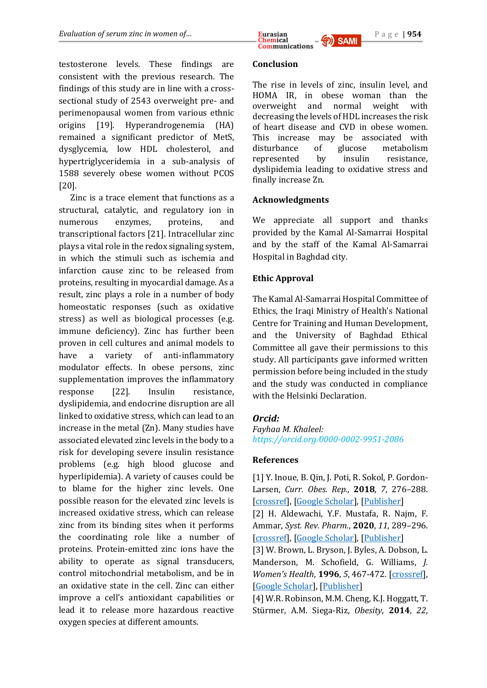testosterone levels. These findings are consistent with the previous research. The findings of this study are in line with a crosssectional study of 2543 overweight pre- and perimenopausal women from various ethnic origins [19]. Hyperandrogenemia (HA) remained a significant predictor of MetS, dysglycemia, low HDL cholesterol, and hypertriglyceridemia in a sub-analysis of 1588 severely obese women without PCOS [20].

Zinc is a trace element that functions as a structural, catalytic, and regulatory ion in numerous enzymes, proteins, and transcriptional factors [21]. Intracellular zinc plays a vital role in the redox signaling system, in which the stimuli such as ischemia and infarction cause zinc to be released from proteins, resulting in myocardial damage. As a result, zinc plays a role in a number of body homeostatic responses (such as oxidative stress) as well as biological processes (e.g. immune deficiency). Zinc has further been proven in cell cultures and animal models to have a variety of anti-inflammatory modulator effects. In obese persons, zinc supplementation improves the inflammatory response [22]. Insulin resistance, dyslipidemia, and endocrine disruption are all linked to oxidative stress, which can lead to an increase in the metal (Zn). Many studies have associated elevated zinc levels in the body to a risk for developing severe insulin resistance problems (e.g. high blood glucose and hyperlipidemia). A variety of causes could be to blame for the higher zinc levels. One possible reason for the elevated zinc levels is increased oxidative stress, which can release zinc from its binding sites when it performs the coordinating role like a number of proteins. Protein-emitted zinc ions have the ability to operate as signal transducers, control mitochondrial metabolism, and be in an oxidative state in the cell. Zinc can either improve a cell's antioxidant capabilities or lead it to release more hazardous reactive oxygen species at different amounts.

*Evaluation of serum zinc in women of m* **Eurasian Eurasian Eurasian Eurasian Eurasian Eurasian Eurasian Eurasian Eurasian Eurasian Eurasian Eurasian Eurasian Eurasian Eurasian Eurasian E Communications** 

## **Conclusion**

The rise in levels of zinc, insulin level, and HOMA IR, in obese woman than the overweight and normal weight with decreasing the levels of HDL increases the risk of heart disease and CVD in obese women. This increase may be associated with disturbance of glucose metabolism represented by insulin resistance, dyslipidemia leading to oxidative stress and finally increase Zn.

## **Acknowledgments**

We appreciate all support and thanks provided by the Kamal Al-Samarrai Hospital and by the staff of the Kamal Al-Samarrai Hospital in Baghdad city.

# **Ethic Approval**

The Kamal Al-Samarrai Hospital Committee of Ethics, the Iraqi Ministry of Health's National Centre for Training and Human Development, and the University of Baghdad Ethical Committee all gave their permissions to this study. All participants gave informed written permission before being included in the study and the study was conducted in compliance with the Helsinki Declaration.

# *Orcid:*

*Fayhaa M. Khaleel: https://orcid.org*/*[0000-0002-9951-2086](https://orcid.org/0000-0002-9951-2086)*

## **References**

[1] Y. Inoue, B. Qin, J. Poti, R. Sokol, P. Gordon-Larsen, *Curr. Obes. Rep.*, **2018**, *7*, 276–288. [\[crossref\]](https://doi.org/10.1007/s13679-018-0317-8), [\[Google Scholar\]](https://scholar.google.com/scholar?hl=de&as_sdt=0%2C5&q=Epidemiology+of+Obesity+in+Adults%3A+Latest+Trends&btnG=), [\[Publisher\]](https://link.springer.com/article/10.1007/s13679-018-0317-8) [2] H. Aldewachi, Y.F. Mustafa, R. Najm, F. Ammar, *Syst. Rev. Pharm.*, **2020**, *11*, 289–296. [\[crossref\]](http://dx.doi.org/10.5530/srp.2019.2.04), [\[Google Scholar\]](https://scholar.google.com/scholar?hl=de&as_sdt=0%2C5&q=Adulteration+of+slimming+products+and+its+detection+methods&btnG=), [\[Publisher\]](https://www.sysrevpharm.org/articles/adulteration-of-slimming-products-and-its-detection-methods.pdf) [3] W. Brown, L. Bryson, J. Byles, A. Dobson, L. Manderson, M. Schofield, G. Williams, *J. Women's Health*, **1996**, *5*, 467-472. [\[crossref\]](https://doi.org/10.1089/jwh.1996.5.467), [\[Google Scholar\]](https://scholar.google.com/scholar?hl=de&as_sdt=0%2C5&q=Women%27s+health+Australia%3A+establishment+of+the+Australian+longitudinal+study+on+women%27s+health.+&btnG=), [\[Publisher\]](https://www.liebertpub.com/doi/abs/10.1089/jwh.1996.5.467)

[4] W.R. Robinson, M.M. Cheng, K.J. Hoggatt, T. Stürmer, A.M. Siega‐Riz, *Obesity*, **2014**, *22*,